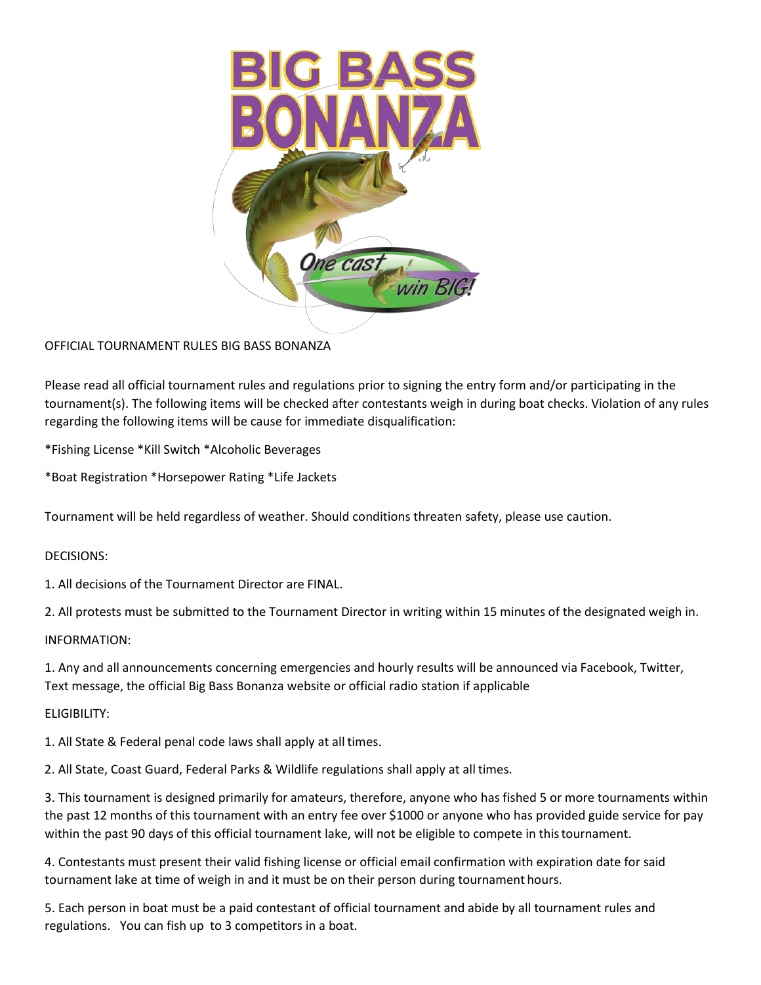

# OFFICIAL TOURNAMENT RULES BIG BASS BONANZA

Please read all official tournament rules and regulations prior to signing the entry form and/or participating in the tournament(s). The following items will be checked after contestants weigh in during boat checks. Violation of any rules regarding the following items will be cause for immediate disqualification:

\*Fishing License \*Kill Switch \*Alcoholic Beverages

\*Boat Registration \*Horsepower Rating \*Life Jackets

Tournament will be held regardless of weather. Should conditions threaten safety, please use caution.

## DECISIONS:

1. All decisions of the Tournament Director are FINAL.

2. All protests must be submitted to the Tournament Director in writing within 15 minutes of the designated weigh in.

## INFORMATION:

1. Any and all announcements concerning emergencies and hourly results will be announced via Facebook, Twitter, Text message, the official Big Bass Bonanza website or official radio station if applicable

## ELIGIBILITY:

1. All State & Federal penal code laws shall apply at all times.

2. All State, Coast Guard, Federal Parks & Wildlife regulations shall apply at all times.

3. This tournament is designed primarily for amateurs, therefore, anyone who has fished 5 or more tournaments within the past 12 months of this tournament with an entry fee over \$1000 or anyone who has provided guide service for pay within the past 90 days of this official tournament lake, will not be eligible to compete in thistournament.

4. Contestants must present their valid fishing license or official email confirmation with expiration date for said tournament lake at time of weigh in and it must be on their person during tournament hours.

5. Each person in boat must be a paid contestant of official tournament and abide by all tournament rules and regulations. You can fish up to 3 competitors in a boat.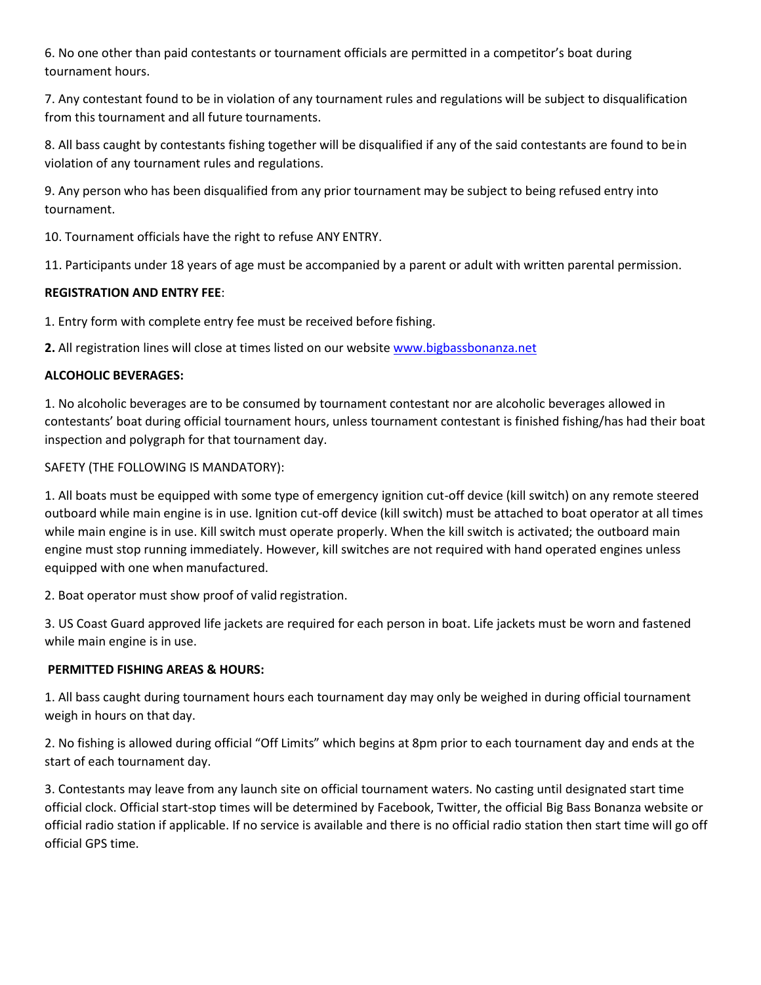6. No one other than paid contestants or tournament officials are permitted in a competitor's boat during tournament hours.

7. Any contestant found to be in violation of any tournament rules and regulations will be subject to disqualification from this tournament and all future tournaments.

8. All bass caught by contestants fishing together will be disqualified if any of the said contestants are found to bein violation of any tournament rules and regulations.

9. Any person who has been disqualified from any prior tournament may be subject to being refused entry into tournament.

10. Tournament officials have the right to refuse ANY ENTRY.

11. Participants under 18 years of age must be accompanied by a parent or adult with written parental permission.

## **REGISTRATION AND ENTRY FEE**:

1. Entry form with complete entry fee must be received before fishing.

**2.** All registration lines will close at times listed on our websit[e www.bigbassbonanza.net](http://www.bigbassbonanza.net/)

## **ALCOHOLIC BEVERAGES:**

1. No alcoholic beverages are to be consumed by tournament contestant nor are alcoholic beverages allowed in contestants' boat during official tournament hours, unless tournament contestant is finished fishing/has had their boat inspection and polygraph for that tournament day.

## SAFETY (THE FOLLOWING IS MANDATORY):

1. All boats must be equipped with some type of emergency ignition cut-off device (kill switch) on any remote steered outboard while main engine is in use. Ignition cut-off device (kill switch) must be attached to boat operator at all times while main engine is in use. Kill switch must operate properly. When the kill switch is activated; the outboard main engine must stop running immediately. However, kill switches are not required with hand operated engines unless equipped with one when manufactured.

2. Boat operator must show proof of valid registration.

3. US Coast Guard approved life jackets are required for each person in boat. Life jackets must be worn and fastened while main engine is in use.

## **PERMITTED FISHING AREAS & HOURS:**

1. All bass caught during tournament hours each tournament day may only be weighed in during official tournament weigh in hours on that day.

2. No fishing is allowed during official "Off Limits" which begins at 8pm prior to each tournament day and ends at the start of each tournament day.

3. Contestants may leave from any launch site on official tournament waters. No casting until designated start time official clock. Official start-stop times will be determined by Facebook, Twitter, the official Big Bass Bonanza website or official radio station if applicable. If no service is available and there is no official radio station then start time will go off official GPS time.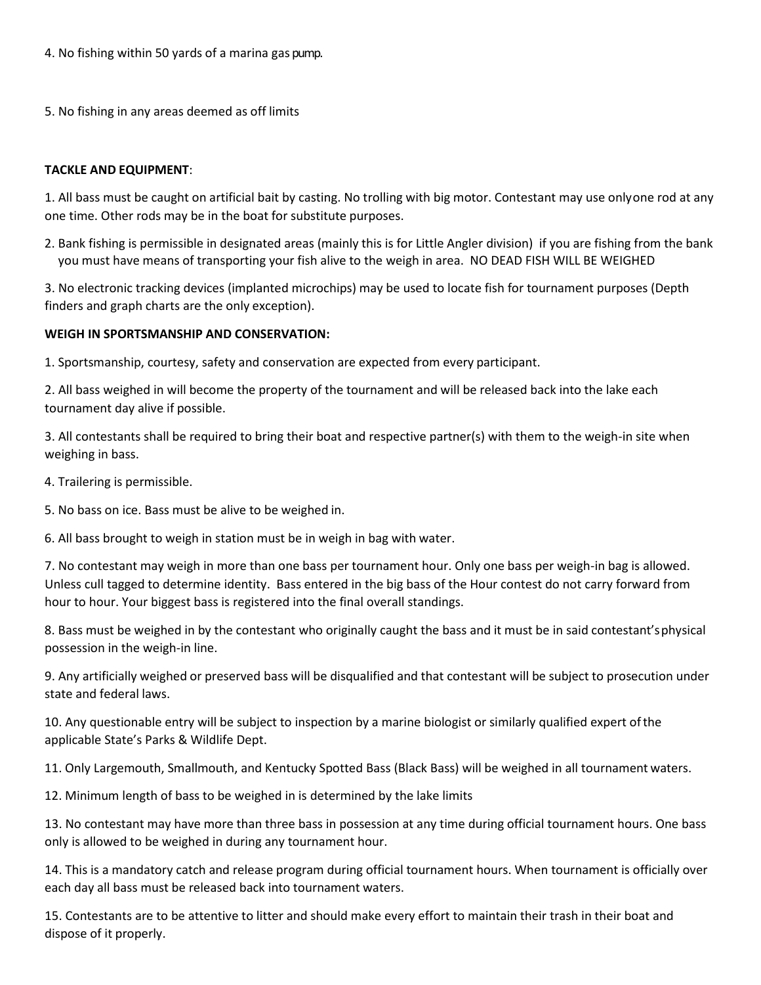4. No fishing within 50 yards of a marina gas pump.

5. No fishing in any areas deemed as off limits

## **TACKLE AND EQUIPMENT**:

1. All bass must be caught on artificial bait by casting. No trolling with big motor. Contestant may use onlyone rod at any one time. Other rods may be in the boat for substitute purposes.

2. Bank fishing is permissible in designated areas (mainly this is for Little Angler division) if you are fishing from the bank you must have means of transporting your fish alive to the weigh in area. NO DEAD FISH WILL BE WEIGHED

3. No electronic tracking devices (implanted microchips) may be used to locate fish for tournament purposes (Depth finders and graph charts are the only exception).

## **WEIGH IN SPORTSMANSHIP AND CONSERVATION:**

1. Sportsmanship, courtesy, safety and conservation are expected from every participant.

2. All bass weighed in will become the property of the tournament and will be released back into the lake each tournament day alive if possible.

3. All contestants shall be required to bring their boat and respective partner(s) with them to the weigh-in site when weighing in bass.

4. Trailering is permissible.

5. No bass on ice. Bass must be alive to be weighed in.

6. All bass brought to weigh in station must be in weigh in bag with water.

7. No contestant may weigh in more than one bass per tournament hour. Only one bass per weigh-in bag is allowed. Unless cull tagged to determine identity. Bass entered in the big bass of the Hour contest do not carry forward from hour to hour. Your biggest bass is registered into the final overall standings.

8. Bass must be weighed in by the contestant who originally caught the bass and it must be in said contestant'sphysical possession in the weigh-in line.

9. Any artificially weighed or preserved bass will be disqualified and that contestant will be subject to prosecution under state and federal laws.

10. Any questionable entry will be subject to inspection by a marine biologist or similarly qualified expert ofthe applicable State's Parks & Wildlife Dept.

11. Only Largemouth, Smallmouth, and Kentucky Spotted Bass (Black Bass) will be weighed in all tournament waters.

12. Minimum length of bass to be weighed in is determined by the lake limits

13. No contestant may have more than three bass in possession at any time during official tournament hours. One bass only is allowed to be weighed in during any tournament hour.

14. This is a mandatory catch and release program during official tournament hours. When tournament is officially over each day all bass must be released back into tournament waters.

15. Contestants are to be attentive to litter and should make every effort to maintain their trash in their boat and dispose of it properly.